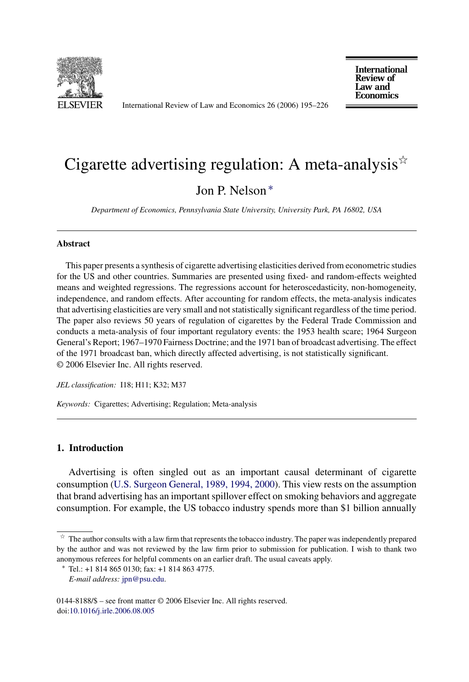

International Review of Law and Economics 26 (2006) 195–226

**International Review of** Law and **Economics** 

# Cigarette advertising regulation: A meta-analysis<sup> $\dot{\mathbf{x}}$ </sup>

### Jon P. Nelson ∗

*Department of Economics, Pennsylvania State University, University Park, PA 16802, USA*

#### **Abstract**

This paper presents a synthesis of cigarette advertising elasticities derived from econometric studies for the US and other countries. Summaries are presented using fixed- and random-effects weighted means and weighted regressions. The regressions account for heteroscedasticity, non-homogeneity, independence, and random effects. After accounting for random effects, the meta-analysis indicates that advertising elasticities are very small and not statistically significant regardless of the time period. The paper also reviews 50 years of regulation of cigarettes by the Federal Trade Commission and conducts a meta-analysis of four important regulatory events: the 1953 health scare; 1964 Surgeon General's Report; 1967–1970 Fairness Doctrine; and the 1971 ban of broadcast advertising. The effect of the 1971 broadcast ban, which directly affected advertising, is not statistically significant. © 2006 Elsevier Inc. All rights reserved.

*JEL classification:* I18; H11; K32; M37

*Keywords:* Cigarettes; Advertising; Regulation; Meta-analysis

#### **1. Introduction**

Advertising is often singled out as an important causal determinant of cigarette consumption [\(U.S. Surgeon General, 1989, 1994, 2000\).](#page--1-0) This view rests on the assumption that brand advertising has an important spillover effect on smoking behaviors and aggregate consumption. For example, the US tobacco industry spends more than \$1 billion annually

 $\dot{\tau}$  The author consults with a law firm that represents the tobacco industry. The paper was independently prepared by the author and was not reviewed by the law firm prior to submission for publication. I wish to thank two anonymous referees for helpful comments on an earlier draft. The usual caveats apply.

<sup>∗</sup> Tel.: +1 814 865 0130; fax: +1 814 863 4775.

*E-mail address:* [jpn@psu.edu.](mailto:jpn@psu.edu)

<sup>0144-8188/\$ –</sup> see front matter © 2006 Elsevier Inc. All rights reserved. doi[:10.1016/j.irle.2006.08.005](dx.doi.org/10.1016/j.irle.2006.08.005)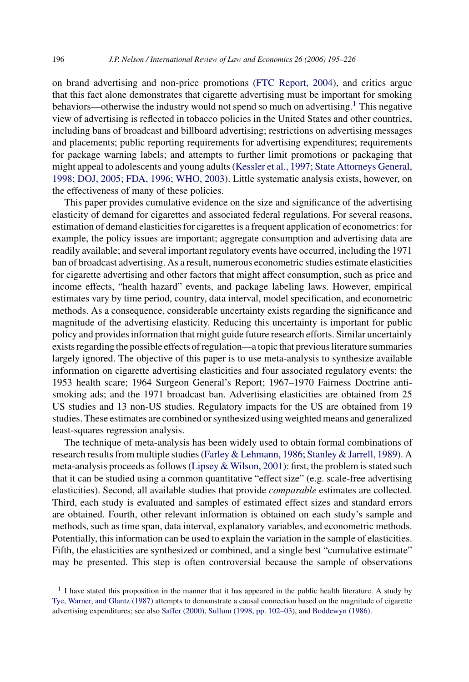on brand advertising and non-price promotions [\(FTC Report, 2004\),](#page--1-0) and critics argue that this fact alone demonstrates that cigarette advertising must be important for smoking behaviors—otherwise the industry would not spend so much on advertising.<sup>1</sup> This negative view of advertising is reflected in tobacco policies in the United States and other countries, including bans of broadcast and billboard advertising; restrictions on advertising messages and placements; public reporting requirements for advertising expenditures; requirements for package warning labels; and attempts to further limit promotions or packaging that might appeal to adolescents and young adults ([Kessler et al., 1997; State Attorneys General,](#page--1-0) [1998;](#page--1-0) [DOJ, 2005; FDA, 1996;](#page--1-0) [WHO, 2003\).](#page--1-0) Little systematic analysis exists, however, on the effectiveness of many of these policies.

This paper provides cumulative evidence on the size and significance of the advertising elasticity of demand for cigarettes and associated federal regulations. For several reasons, estimation of demand elasticities for cigarettes is a frequent application of econometrics: for example, the policy issues are important; aggregate consumption and advertising data are readily available; and several important regulatory events have occurred, including the 1971 ban of broadcast advertising. As a result, numerous econometric studies estimate elasticities for cigarette advertising and other factors that might affect consumption, such as price and income effects, "health hazard" events, and package labeling laws. However, empirical estimates vary by time period, country, data interval, model specification, and econometric methods. As a consequence, considerable uncertainty exists regarding the significance and magnitude of the advertising elasticity. Reducing this uncertainty is important for public policy and provides information that might guide future research efforts. Similar uncertainly exists regarding the possible effects of regulation—a topic that previous literature summaries largely ignored. The objective of this paper is to use meta-analysis to synthesize available information on cigarette advertising elasticities and four associated regulatory events: the 1953 health scare; 1964 Surgeon General's Report; 1967–1970 Fairness Doctrine antismoking ads; and the 1971 broadcast ban. Advertising elasticities are obtained from 25 US studies and 13 non-US studies. Regulatory impacts for the US are obtained from 19 studies. These estimates are combined or synthesized using weighted means and generalized least-squares regression analysis.

The technique of meta-analysis has been widely used to obtain formal combinations of research results from multiple studies [\(Farley & Lehmann, 1986;](#page--1-0) [Stanley & Jarrell, 1989\).](#page--1-0) A meta-analysis proceeds as follows ([Lipsey & Wilson, 2001\):](#page--1-0) first, the problem is stated such that it can be studied using a common quantitative "effect size" (e.g. scale-free advertising elasticities). Second, all available studies that provide *comparable* estimates are collected. Third, each study is evaluated and samples of estimated effect sizes and standard errors are obtained. Fourth, other relevant information is obtained on each study's sample and methods, such as time span, data interval, explanatory variables, and econometric methods. Potentially, this information can be used to explain the variation in the sample of elasticities. Fifth, the elasticities are synthesized or combined, and a single best "cumulative estimate" may be presented. This step is often controversial because the sample of observations

 $<sup>1</sup>$  I have stated this proposition in the manner that it has appeared in the public health literature. A study by</sup> [Tye, Warner, and Glantz \(1987\)](#page--1-0) attempts to demonstrate a causal connection based on the magnitude of cigarette advertising expenditures; see also [Saffer \(2000\),](#page--1-0) [Sullum \(1998, pp. 102–03\),](#page--1-0) and [Boddewyn \(1986\).](#page--1-0)